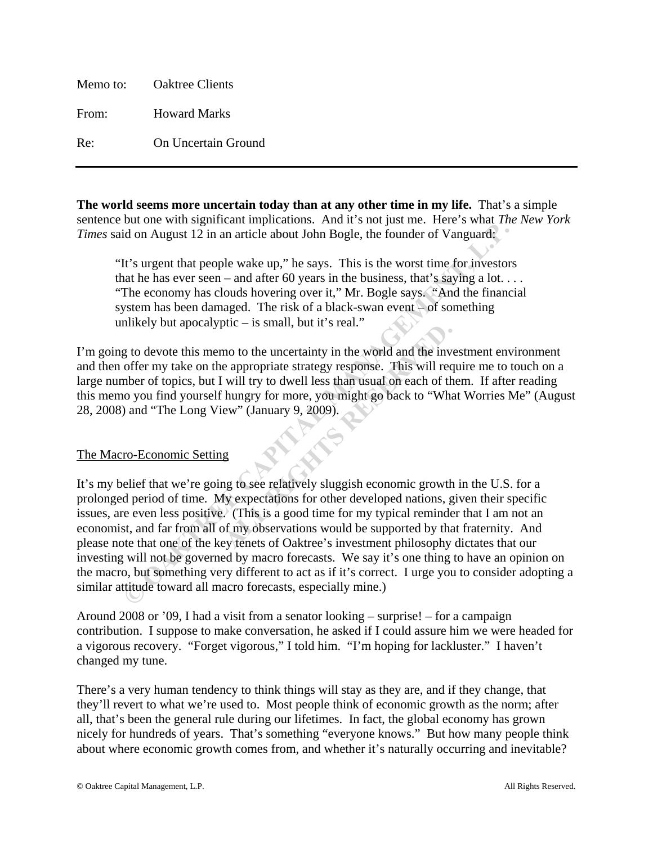Memo to: Oaktree Clients From: Howard Marks Re: On Uncertain Ground

**The world seems more uncertain today than at any other time in my life.** That's a simple sentence but one with significant implications. And it's not just me. Here's what *The New York Times* said on August 12 in an article about John Bogle, the founder of Vanguard:

"It's urgent that people wake up," he says. This is the worst time for investors that he has ever seen – and after 60 years in the business, that's saying a lot... "The economy has clouds hovering over it," Mr. Bogle says. "And the financial system has been damaged. The risk of a black-swan event  $\vdash$  of something unlikely but apocalyptic  $-$  is small, but it's real."

I'm going to devote this memo to the uncertainty in the world and the investment environment and then offer my take on the appropriate strategy response. This will require me to touch on a large number of topics, but I will try to dwell less than usual on each of them. If after reading this memo you find yourself hungry for more, you might go back to "What Worries Me" (August 28, 2008) and "The Long View" (January 9, 2009).

# The Macro-Economic Setting

It's my belief that we're going to see relatively sluggish economic growth in the U.S. for a prolonged period of time. My expectations for other developed nations, given their specific issues, are even less positive. (This is a good time for my typical reminder that I am not an economist, and far from all of my observations would be supported by that fraternity. And please note that one of the key tenets of Oaktree's investment philosophy dictates that our investing will not be governed by macro forecasts. We say it's one thing to have an opinion on the macro, but something very different to act as if it's correct. I urge you to consider adopting a similar attitude toward all macro forecasts, especially mine.) Id on August 12 in an article about John Bogle, the founder of Vanguard;<br>
It's urgent that people wake up," he says. This is the worst time for investors<br>
at the has ever seen – and after 60 years in the business, that's s ALC = IS sman, but it s ican.<br>
mo to the uncertainty in the world and the inverting appropriate strategy response. This will recevill try to dwell less than usual on each of th<br>
hungry for more, you might go back to "Wha<br>

Around 2008 or '09, I had a visit from a senator looking – surprise! – for a campaign contribution. I suppose to make conversation, he asked if I could assure him we were headed for a vigorous recovery. "Forget vigorous," I told him. "I'm hoping for lackluster." I haven't changed my tune.

There's a very human tendency to think things will stay as they are, and if they change, that they'll revert to what we're used to. Most people think of economic growth as the norm; after all, that's been the general rule during our lifetimes. In fact, the global economy has grown nicely for hundreds of years. That's something "everyone knows." But how many people think about where economic growth comes from, and whether it's naturally occurring and inevitable?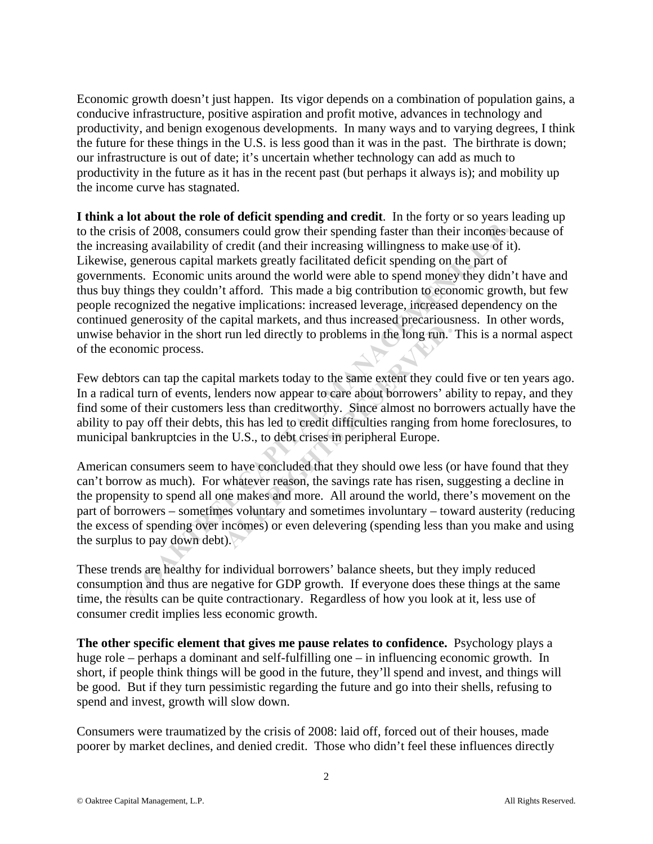Economic growth doesn't just happen. Its vigor depends on a combination of population gains, a conducive infrastructure, positive aspiration and profit motive, advances in technology and productivity, and benign exogenous developments. In many ways and to varying degrees, I think the future for these things in the U.S. is less good than it was in the past. The birthrate is down; our infrastructure is out of date; it's uncertain whether technology can add as much to productivity in the future as it has in the recent past (but perhaps it always is); and mobility up the income curve has stagnated.

**I think a lot about the role of deficit spending and credit**. In the forty or so years leading up to the crisis of 2008, consumers could grow their spending faster than their incomes because of the increasing availability of credit (and their increasing willingness to make use of it). Likewise, generous capital markets greatly facilitated deficit spending on the part of governments. Economic units around the world were able to spend money they didn't have and thus buy things they couldn't afford. This made a big contribution to economic growth, but few people recognized the negative implications: increased leverage, increased dependency on the continued generosity of the capital markets, and thus increased precariousness. In other words, unwise behavior in the short run led directly to problems in the long run. This is a normal aspect of the economic process. sis of 2008, consumers could grow their spending faster than their incomes both expective divid that increasing will anguals to make use of it) agenerous capital markets greatly facilitated deficit spending on, the part of

Few debtors can tap the capital markets today to the same extent they could five or ten years ago. In a radical turn of events, lenders now appear to care about borrowers' ability to repay, and they find some of their customers less than creditworthy. Since almost no borrowers actually have the ability to pay off their debts, this has led to credit difficulties ranging from home foreclosures, to municipal bankruptcies in the U.S., to debt crises in peripheral Europe.

American consumers seem to have concluded that they should owe less (or have found that they can't borrow as much). For whatever reason, the savings rate has risen, suggesting a decline in the propensity to spend all one makes and more. All around the world, there's movement on the part of borrowers – sometimes voluntary and sometimes involuntary – toward austerity (reducing the excess of spending over incomes) or even delevering (spending less than you make and using the surplus to pay down debt). The matter of the same extent they counders now appear to care about borrowers' all less than creditworthy. Since almost no born this has led to credit difficulties ranging from e U.S., to debt crises in peripheral Europe.

These trends are healthy for individual borrowers' balance sheets, but they imply reduced consumption and thus are negative for GDP growth. If everyone does these things at the same time, the results can be quite contractionary. Regardless of how you look at it, less use of consumer credit implies less economic growth.

**The other specific element that gives me pause relates to confidence.** Psychology plays a huge role – perhaps a dominant and self-fulfilling one – in influencing economic growth. In short, if people think things will be good in the future, they'll spend and invest, and things will be good. But if they turn pessimistic regarding the future and go into their shells, refusing to spend and invest, growth will slow down.

Consumers were traumatized by the crisis of 2008: laid off, forced out of their houses, made poorer by market declines, and denied credit. Those who didn't feel these influences directly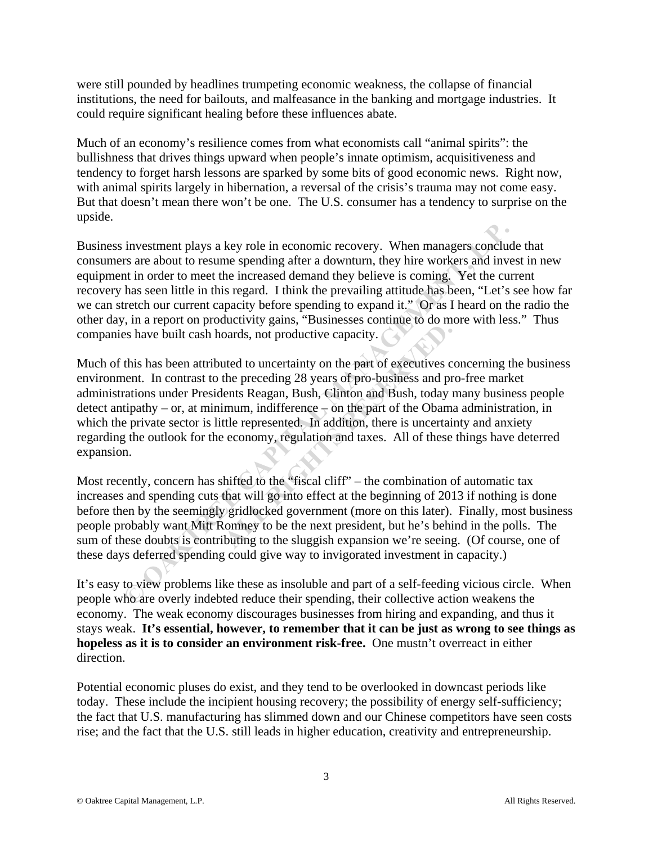were still pounded by headlines trumpeting economic weakness, the collapse of financial institutions, the need for bailouts, and malfeasance in the banking and mortgage industries. It could require significant healing before these influences abate.

Much of an economy's resilience comes from what economists call "animal spirits": the bullishness that drives things upward when people's innate optimism, acquisitiveness and tendency to forget harsh lessons are sparked by some bits of good economic news. Right now, with animal spirits largely in hibernation, a reversal of the crisis's trauma may not come easy. But that doesn't mean there won't be one. The U.S. consumer has a tendency to surprise on the upside.

Business investment plays a key role in economic recovery. When managers conclude that consumers are about to resume spending after a downturn, they hire workers and invest in new equipment in order to meet the increased demand they believe is coming. Yet the current recovery has seen little in this regard. I think the prevailing attitude has been, "Let's see how far we can stretch our current capacity before spending to expand it." Or as I heard on the radio the other day, in a report on productivity gains, "Businesses continue to do more with less." Thus companies have built cash hoards, not productive capacity. investment plays a key role in economic recovery. When managers concludes rs are about to resume spending after a downturn, they hire workers and invest in in order to meet the increased demand they believe is coming. Yet

Much of this has been attributed to uncertainty on the part of executives concerning the business environment. In contrast to the preceding 28 years of pro-business and pro-free market administrations under Presidents Reagan, Bush, Clinton and Bush, today many business people detect antipathy – or, at minimum, indifference  $\frac{1}{2}$  on the part of the Obama administration, in which the private sector is little represented. In addition, there is uncertainty and anxiety regarding the outlook for the economy, regulation and taxes. All of these things have deterred expansion. bard R<sub>3</sub> game, a memority.<br>
Letted to uncertainty on the part of executives c<br>
the preceding 28 years of pro-business and pr<br>
ents Reagan, Bush, Clinton and Bush, today<br>
mum, indifference – on the part of the Obam<br>
ttle r

Most recently, concern has shifted to the "fiscal cliff" – the combination of automatic tax increases and spending cuts that will go into effect at the beginning of 2013 if nothing is done before then by the seemingly gridlocked government (more on this later). Finally, most business people probably want Mitt Romney to be the next president, but he's behind in the polls. The sum of these doubts is contributing to the sluggish expansion we're seeing. (Of course, one of these days deferred spending could give way to invigorated investment in capacity.)

It's easy to view problems like these as insoluble and part of a self-feeding vicious circle. When people who are overly indebted reduce their spending, their collective action weakens the economy. The weak economy discourages businesses from hiring and expanding, and thus it stays weak. **It's essential, however, to remember that it can be just as wrong to see things as hopeless as it is to consider an environment risk-free.** One mustn't overreact in either direction.

Potential economic pluses do exist, and they tend to be overlooked in downcast periods like today. These include the incipient housing recovery; the possibility of energy self-sufficiency; the fact that U.S. manufacturing has slimmed down and our Chinese competitors have seen costs rise; and the fact that the U.S. still leads in higher education, creativity and entrepreneurship.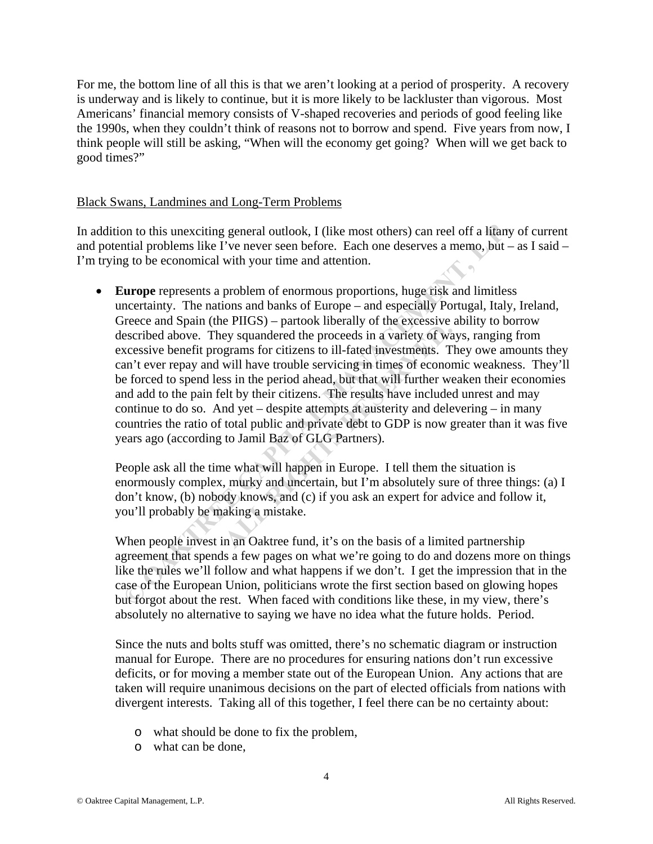For me, the bottom line of all this is that we aren't looking at a period of prosperity. A recovery is underway and is likely to continue, but it is more likely to be lackluster than vigorous. Most Americans' financial memory consists of V-shaped recoveries and periods of good feeling like the 1990s, when they couldn't think of reasons not to borrow and spend. Five years from now, I think people will still be asking, "When will the economy get going? When will we get back to good times?"

#### Black Swans, Landmines and Long-Term Problems

In addition to this unexciting general outlook, I (like most others) can reel off a litany of current and potential problems like I've never seen before. Each one deserves a memo, but – as I said – I'm trying to be economical with your time and attention.

 **Europe** represents a problem of enormous proportions, huge risk and limitless uncertainty. The nations and banks of Europe – and especially Portugal, Italy, Ireland, Greece and Spain (the PIIGS) – partook liberally of the excessive ability to borrow described above. They squandered the proceeds in a variety of ways, ranging from excessive benefit programs for citizens to ill-fated investments. They owe amounts they can't ever repay and will have trouble servicing in times of economic weakness. They'll be forced to spend less in the period ahead, but that will further weaken their economies and add to the pain felt by their citizens. The results have included unrest and may continue to do so. And yet – despite attempts at austerity and delevering – in many countries the ratio of total public and private debt to GDP is now greater than it was five years ago (according to Jamil Baz of GLG Partners). on to this unexciting general outlook, I (like most others) can reel off a litany<br>tital problems like I've never seen before. Each one deserves a memo, but =<br>g to be economical with your time and attention.<br>**Lurope** repres Example of the proceeds in a variety of way squandered the proceeds in a variety of way rams for citizens to ill-fated investments. The well have trouble servicing in times of econors in the period ahead, but that will fur

People ask all the time what will happen in Europe. I tell them the situation is enormously complex, murky and uncertain, but I'm absolutely sure of three things: (a) I don't know, (b) nobody knows, and (c) if you ask an expert for advice and follow it, you'll probably be making a mistake.

When people invest in an Oaktree fund, it's on the basis of a limited partnership agreement that spends a few pages on what we're going to do and dozens more on things like the rules we'll follow and what happens if we don't. I get the impression that in the case of the European Union, politicians wrote the first section based on glowing hopes but forgot about the rest. When faced with conditions like these, in my view, there's absolutely no alternative to saying we have no idea what the future holds. Period.

Since the nuts and bolts stuff was omitted, there's no schematic diagram or instruction manual for Europe. There are no procedures for ensuring nations don't run excessive deficits, or for moving a member state out of the European Union. Any actions that are taken will require unanimous decisions on the part of elected officials from nations with divergent interests. Taking all of this together, I feel there can be no certainty about:

- o what should be done to fix the problem,
- o what can be done,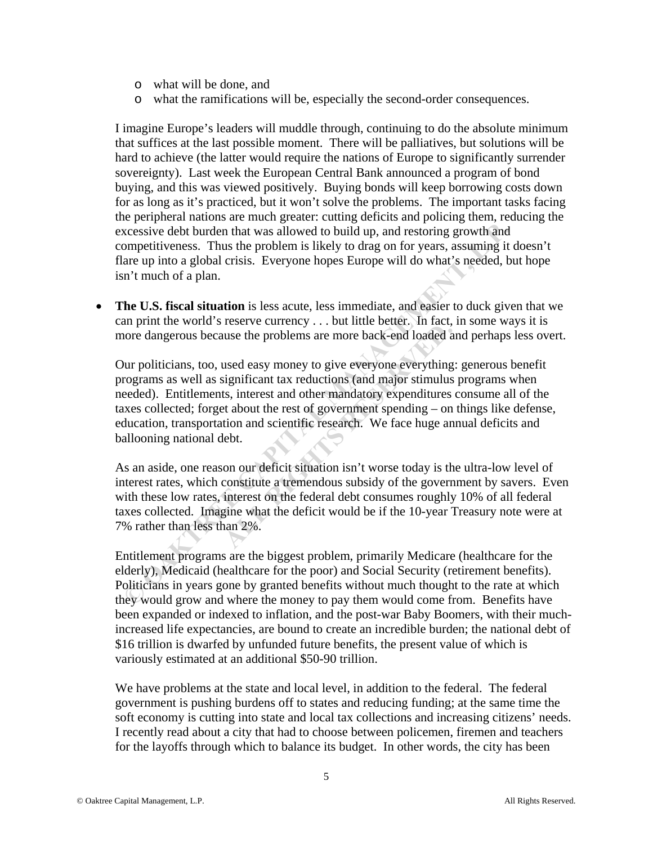- o what will be done, and
- o what the ramifications will be, especially the second-order consequences.

I imagine Europe's leaders will muddle through, continuing to do the absolute minimum that suffices at the last possible moment. There will be palliatives, but solutions will be hard to achieve (the latter would require the nations of Europe to significantly surrender sovereignty). Last week the European Central Bank announced a program of bond buying, and this was viewed positively. Buying bonds will keep borrowing costs down for as long as it's practiced, but it won't solve the problems. The important tasks facing the peripheral nations are much greater: cutting deficits and policing them, reducing the excessive debt burden that was allowed to build up, and restoring growth and competitiveness. Thus the problem is likely to drag on for years, assuming it doesn't flare up into a global crisis. Everyone hopes Europe will do what's needed, but hope isn't much of a plan.

 **The U.S. fiscal situation** is less acute, less immediate, and easier to duck given that we can print the world's reserve currency . . . but little better. In fact, in some ways it is more dangerous because the problems are more back-end loaded and perhaps less overt.

Our politicians, too, used easy money to give everyone everything: generous benefit programs as well as significant tax reductions (and major stimulus programs when needed). Entitlements, interest and other mandatory expenditures consume all of the taxes collected; forget about the rest of government spending – on things like defense, education, transportation and scientific research. We face huge annual deficits and ballooning national debt. xcessive debt burden that was allowed to build up, and restoring growth and<br>ompetitiveness. Thus the problem is likely to drag on for years, assuming it care<br>up into a global crisis. Everyone hopes Europe will do what's ne **ALL RESERVE CALL ASSET CONCRETED SERVICES** TO THE THOST THUS THE PROPURS A THOST AND SURVEY SIGNIFIGRATION SUBSERVITY AND SURVEY SERVIDE SERVIDE ASSET AND MODEL TO A THOM AND SIGNAL TO A THOM A CONCRETER ORDER THE CONCRET

As an aside, one reason our deficit situation isn't worse today is the ultra-low level of interest rates, which constitute a tremendous subsidy of the government by savers. Even with these low rates, interest on the federal debt consumes roughly 10% of all federal taxes collected. Imagine what the deficit would be if the 10-year Treasury note were at 7% rather than less than 2%.

Entitlement programs are the biggest problem, primarily Medicare (healthcare for the elderly), Medicaid (healthcare for the poor) and Social Security (retirement benefits). Politicians in years gone by granted benefits without much thought to the rate at which they would grow and where the money to pay them would come from. Benefits have been expanded or indexed to inflation, and the post-war Baby Boomers, with their muchincreased life expectancies, are bound to create an incredible burden; the national debt of \$16 trillion is dwarfed by unfunded future benefits, the present value of which is variously estimated at an additional \$50-90 trillion.

We have problems at the state and local level, in addition to the federal. The federal government is pushing burdens off to states and reducing funding; at the same time the soft economy is cutting into state and local tax collections and increasing citizens' needs. I recently read about a city that had to choose between policemen, firemen and teachers for the layoffs through which to balance its budget. In other words, the city has been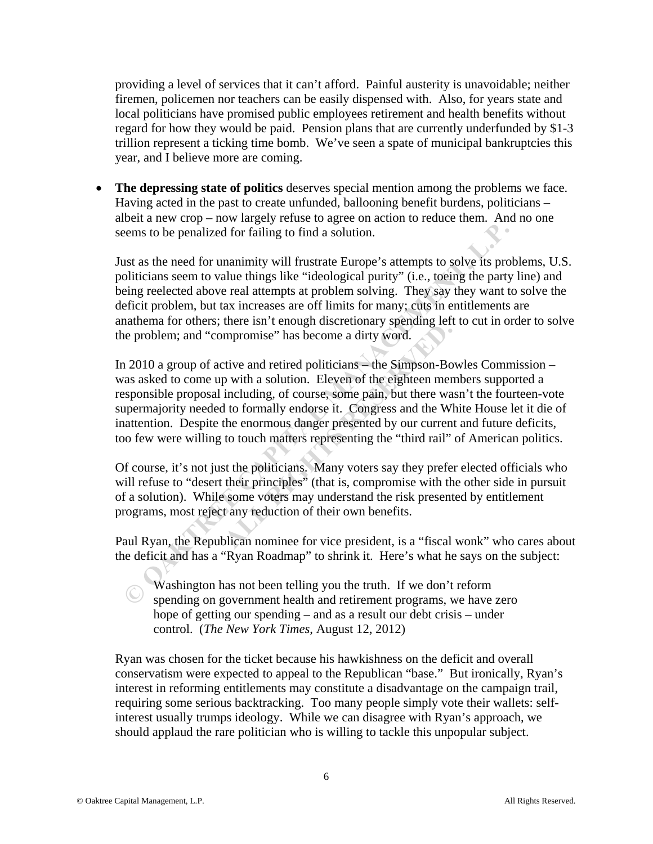providing a level of services that it can't afford. Painful austerity is unavoidable; neither firemen, policemen nor teachers can be easily dispensed with. Also, for years state and local politicians have promised public employees retirement and health benefits without regard for how they would be paid. Pension plans that are currently underfunded by \$1-3 trillion represent a ticking time bomb. We've seen a spate of municipal bankruptcies this year, and I believe more are coming.

 **The depressing state of politics** deserves special mention among the problems we face. Having acted in the past to create unfunded, ballooning benefit burdens, politicians – albeit a new crop – now largely refuse to agree on action to reduce them. And no one seems to be penalized for failing to find a solution.

Just as the need for unanimity will frustrate Europe's attempts to solve its problems, U.S. politicians seem to value things like "ideological purity" (i.e., toeing the party line) and being reelected above real attempts at problem solving. They say they want to solve the deficit problem, but tax increases are off limits for many; cuts in entitlements are anathema for others; there isn't enough discretionary spending left to cut in order to solve the problem; and "compromise" has become a dirty word.

In 2010 a group of active and retired politicians – the Simpson-Bowles Commission – was asked to come up with a solution. Eleven of the eighteen members supported a responsible proposal including, of course, some pain, but there wasn't the fourteen-vote supermajority needed to formally endorse it. Congress and the White House let it die of inattention. Despite the enormous danger presented by our current and future deficits, too few were willing to touch matters representing the "third rail" of American politics. iems to be penalized for failing to find a solution.<br>
Example and solutions seem to value things like "ideological purity" (i.e., toeing the party<br>
einje reelected above real attempts at problem solving. They say they want mpromise" has become a dirty word.<br>
tive and retired politicians — the Simpson-Bo<br>
p with a solution. Eleven of the eighteen mer<br>
including, of course, some pain, but there was<br>
1 to formally endorse it. Congress and the W

Of course, it's not just the politicians. Many voters say they prefer elected officials who will refuse to "desert their principles" (that is, compromise with the other side in pursuit of a solution). While some voters may understand the risk presented by entitlement programs, most reject any reduction of their own benefits.

Paul Ryan, the Republican nominee for vice president, is a "fiscal wonk" who cares about the deficit and has a "Ryan Roadmap" to shrink it. Here's what he says on the subject:

Washington has not been telling you the truth. If we don't reform spending on government health and retirement programs, we have zero hope of getting our spending – and as a result our debt crisis – under control. (*The New York Times*, August 12, 2012)

Ryan was chosen for the ticket because his hawkishness on the deficit and overall conservatism were expected to appeal to the Republican "base." But ironically, Ryan's interest in reforming entitlements may constitute a disadvantage on the campaign trail, requiring some serious backtracking. Too many people simply vote their wallets: selfinterest usually trumps ideology. While we can disagree with Ryan's approach, we should applaud the rare politician who is willing to tackle this unpopular subject.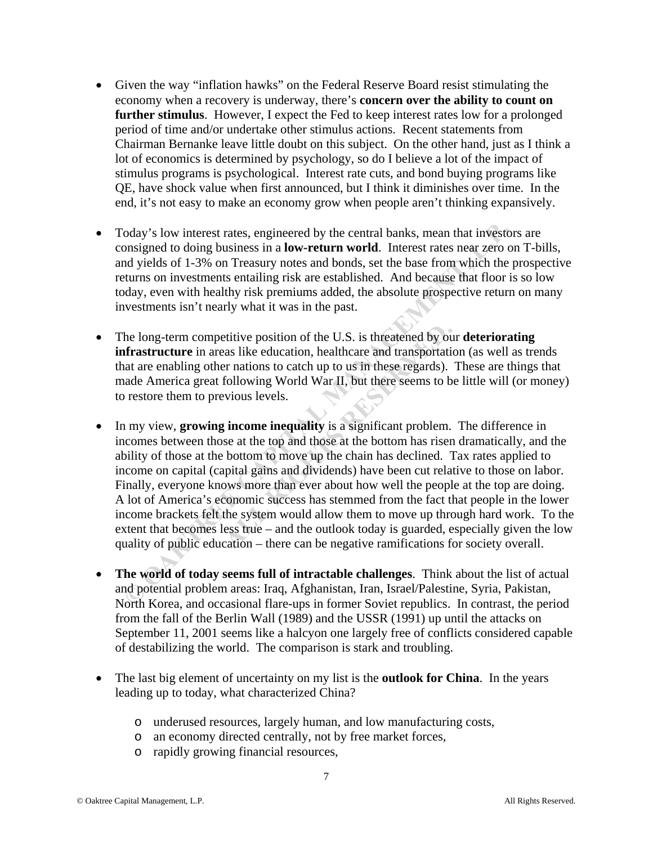- Given the way "inflation hawks" on the Federal Reserve Board resist stimulating the economy when a recovery is underway, there's **concern over the ability to count on further stimulus**. However, I expect the Fed to keep interest rates low for a prolonged period of time and/or undertake other stimulus actions. Recent statements from Chairman Bernanke leave little doubt on this subject. On the other hand, just as I think a lot of economics is determined by psychology, so do I believe a lot of the impact of stimulus programs is psychological. Interest rate cuts, and bond buying programs like QE, have shock value when first announced, but I think it diminishes over time. In the end, it's not easy to make an economy grow when people aren't thinking expansively.
- Today's low interest rates, engineered by the central banks, mean that investors are consigned to doing business in a **low-return world**. Interest rates near zero on T-bills, and yields of 1-3% on Treasury notes and bonds, set the base from which the prospective returns on investments entailing risk are established. And because that floor is so low today, even with healthy risk premiums added, the absolute prospective return on many investments isn't nearly what it was in the past.
- The long-term competitive position of the U.S. is threatened by our **deteriorating infrastructure** in areas like education, healthcare and transportation (as well as trends that are enabling other nations to catch up to us in these regards). These are things that made America great following World War II, but there seems to be little will (or money) to restore them to previous levels.
- In my view, **growing income inequality** is a significant problem. The difference in incomes between those at the top and those at the bottom has risen dramatically, and the ability of those at the bottom to move up the chain has declined. Tax rates applied to income on capital (capital gains and dividends) have been cut relative to those on labor. Finally, everyone knows more than ever about how well the people at the top are doing. A lot of America's economic success has stemmed from the fact that people in the lower income brackets felt the system would allow them to move up through hard work. To the extent that becomes less true – and the outlook today is guarded, especially given the low quality of public education – there can be negative ramifications for society overall. oday's low interest rates, engineered by the central banks, mean that investor<br>onsigned to doing business in a low-**return world.** Interest rates near zero or<br>polyigleds of 1-3% on Treasury notes and bonds, set the base fr etitive position of the U.S. is threatened by ou<br>aas like education, healthcare and transportatier<br>r nations to catch up to us in these regards).<br>following World War II, but there seems to b<br>vious levels.<br>**3** income inequa
- **The world of today seems full of intractable challenges**. Think about the list of actual and potential problem areas: Iraq, Afghanistan, Iran, Israel/Palestine, Syria, Pakistan, North Korea, and occasional flare-ups in former Soviet republics. In contrast, the period from the fall of the Berlin Wall (1989) and the USSR (1991) up until the attacks on September 11, 2001 seems like a halcyon one largely free of conflicts considered capable of destabilizing the world. The comparison is stark and troubling.
- The last big element of uncertainty on my list is the **outlook for China**. In the years leading up to today, what characterized China?
	- o underused resources, largely human, and low manufacturing costs,
	- o an economy directed centrally, not by free market forces,
	- o rapidly growing financial resources,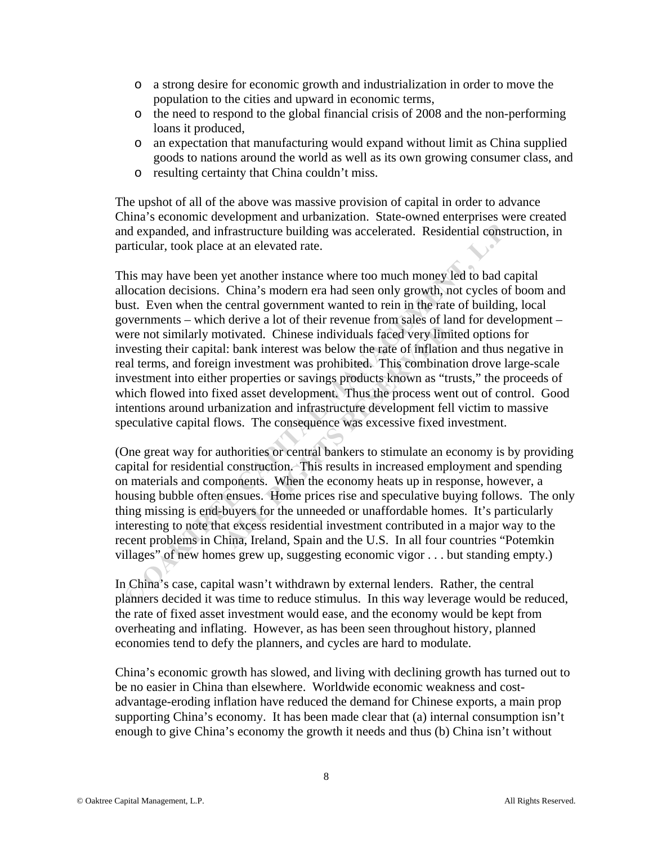- o a strong desire for economic growth and industrialization in order to move the population to the cities and upward in economic terms,
- o the need to respond to the global financial crisis of 2008 and the non-performing loans it produced,
- o an expectation that manufacturing would expand without limit as China supplied goods to nations around the world as well as its own growing consumer class, and
- o resulting certainty that China couldn't miss.

The upshot of all of the above was massive provision of capital in order to advance China's economic development and urbanization. State-owned enterprises were created and expanded, and infrastructure building was accelerated. Residential construction, in particular, took place at an elevated rate.

This may have been yet another instance where too much money led to bad capital allocation decisions. China's modern era had seen only growth, not cycles of boom and bust. Even when the central government wanted to rein in the rate of building, local governments – which derive a lot of their revenue from sales of land for development – were not similarly motivated. Chinese individuals faced very limited options for investing their capital: bank interest was below the rate of inflation and thus negative in real terms, and foreign investment was prohibited. This combination drove large-scale investment into either properties or savings products known as "trusts," the proceeds of which flowed into fixed asset development. Thus the process went out of control. Good intentions around urbanization and infrastructure development fell victim to massive speculative capital flows. The consequence was excessive fixed investment. md expanded, and infrastructure building was accelerated. Residential constructivalar, took place at an elevated rate.<br>
This may have been yet another instance where too much money led to bad callocation decisions. China's orivated. Chinese individuals faced very limi<br>1: bank interest was below the rate of inflation<br>1: bank interest was below the rate of inflation<br>1: bank interest was below the rate of inflation<br>1: properties or savings prod

(One great way for authorities or central bankers to stimulate an economy is by providing capital for residential construction. This results in increased employment and spending on materials and components. When the economy heats up in response, however, a housing bubble often ensues. Home prices rise and speculative buying follows. The only thing missing is end-buyers for the unneeded or unaffordable homes. It's particularly interesting to note that excess residential investment contributed in a major way to the recent problems in China, Ireland, Spain and the U.S. In all four countries "Potemkin villages" of new homes grew up, suggesting economic vigor . . . but standing empty.)

In China's case, capital wasn't withdrawn by external lenders. Rather, the central planners decided it was time to reduce stimulus. In this way leverage would be reduced, the rate of fixed asset investment would ease, and the economy would be kept from overheating and inflating. However, as has been seen throughout history, planned economies tend to defy the planners, and cycles are hard to modulate.

China's economic growth has slowed, and living with declining growth has turned out to be no easier in China than elsewhere. Worldwide economic weakness and costadvantage-eroding inflation have reduced the demand for Chinese exports, a main prop supporting China's economy. It has been made clear that (a) internal consumption isn't enough to give China's economy the growth it needs and thus (b) China isn't without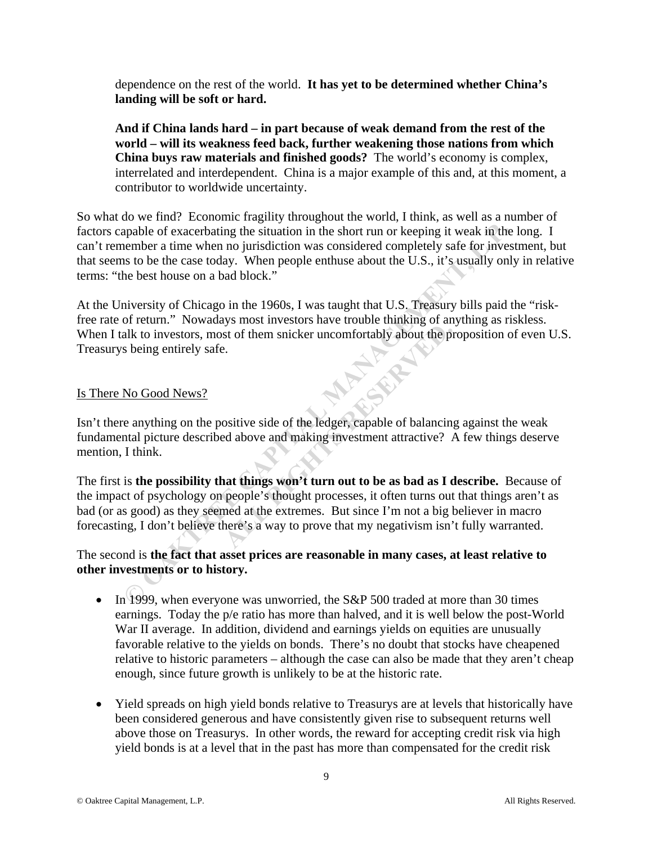dependence on the rest of the world. **It has yet to be determined whether China's landing will be soft or hard.** 

**And if China lands hard – in part because of weak demand from the rest of the world – will its weakness feed back, further weakening those nations from which China buys raw materials and finished goods?** The world's economy is complex, interrelated and interdependent. China is a major example of this and, at this moment, a contributor to worldwide uncertainty.

So what do we find? Economic fragility throughout the world, I think, as well as a number of factors capable of exacerbating the situation in the short run or keeping it weak in the long. I can't remember a time when no jurisdiction was considered completely safe for investment, but that seems to be the case today. When people enthuse about the U.S., it's usually only in relative terms: "the best house on a bad block."

At the University of Chicago in the 1960s, I was taught that U.S. Treasury bills paid the "riskfree rate of return." Nowadays most investors have trouble thinking of anything as riskless. When I talk to investors, most of them snicker uncomfortably about the proposition of even U.S. Treasurys being entirely safe.

#### Is There No Good News?

Isn't there anything on the positive side of the ledger, capable of balancing against the weak fundamental picture described above and making investment attractive? A few things deserve mention, I think.

The first is **the possibility that things won't turn out to be as bad as I describe.** Because of the impact of psychology on people's thought processes, it often turns out that things aren't as bad (or as good) as they seemed at the extremes. But since I'm not a big believer in macro forecasting, I don't believe there's a way to prove that my negativism isn't fully warranted. apable of exacerbating the situation in the short run or keeping it weak in the shondard completely stafe for investing to the when no jurisdiction was considered completely stafe for invests in to the use today. When peop **ALL RESERVANCE CONCRETE INTERFERVALUES** and start of them snicker uncomfortably about the problem is.<br>
All RIGHTS RESERVED AND SOLUTION and making investment attractive?<br> **ALL RIGHTS RESERVANCE AND START AND START AND STA** 

## The second is **the fact that asset prices are reasonable in many cases, at least relative to other investments or to history.**

- $\bullet$  In 1999, when everyone was unworried, the S&P 500 traded at more than 30 times earnings. Today the p/e ratio has more than halved, and it is well below the post-World War II average. In addition, dividend and earnings yields on equities are unusually favorable relative to the yields on bonds. There's no doubt that stocks have cheapened relative to historic parameters – although the case can also be made that they aren't cheap enough, since future growth is unlikely to be at the historic rate.
- Yield spreads on high yield bonds relative to Treasurys are at levels that historically have been considered generous and have consistently given rise to subsequent returns well above those on Treasurys. In other words, the reward for accepting credit risk via high yield bonds is at a level that in the past has more than compensated for the credit risk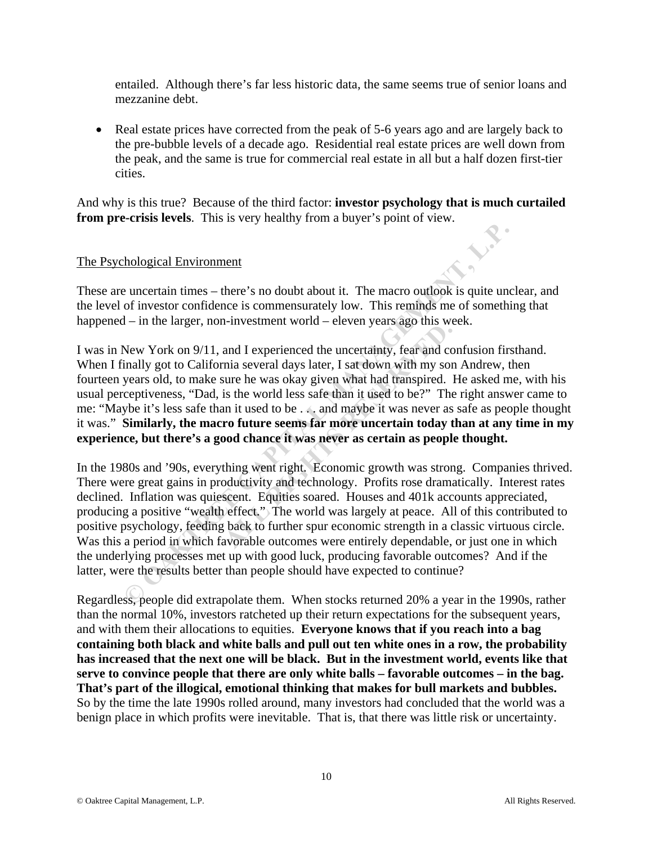entailed. Although there's far less historic data, the same seems true of senior loans and mezzanine debt.

• Real estate prices have corrected from the peak of 5-6 years ago and are largely back to the pre-bubble levels of a decade ago. Residential real estate prices are well down from the peak, and the same is true for commercial real estate in all but a half dozen first-tier cities.

And why is this true? Because of the third factor: **investor psychology that is much curtailed from pre-crisis levels**. This is very healthy from a buyer's point of view.

## The Psychological Environment

These are uncertain times – there's no doubt about it. The macro outlook is quite unclear, and the level of investor confidence is commensurately low. This reminds me of something that happened – in the larger, non-investment world – eleven years ago this week.

I was in New York on 9/11, and I experienced the uncertainty, fear and confusion firsthand. When I finally got to California several days later, I sat down with my son Andrew, then fourteen years old, to make sure he was okay given what had transpired. He asked me, with his usual perceptiveness, "Dad, is the world less safe than it used to be?" The right answer came to me: "Maybe it's less safe than it used to be . . . and maybe it was never as safe as people thought it was." **Similarly, the macro future seems far more uncertain today than at any time in my experience, but there's a good chance it was never as certain as people thought.**  ALL RESERVED TO THE VERTIFY AND THE VERTIFY AND AND AND AND AND AND AND AND SUIT AND SUIT AND SUIT AND SUIT AND SUIT AND IN THE WAS ONLY THE ALL AND MAY AND MOVED THE AND MOVED THE AND MOVED CONDUCT THE AND SUIT AND MOVED

In the 1980s and '90s, everything went right. Economic growth was strong. Companies thrived. There were great gains in productivity and technology. Profits rose dramatically. Interest rates declined. Inflation was quiescent. Equities soared. Houses and 401k accounts appreciated, producing a positive "wealth effect." The world was largely at peace. All of this contributed to positive psychology, feeding back to further spur economic strength in a classic virtuous circle. Was this a period in which favorable outcomes were entirely dependable, or just one in which the underlying processes met up with good luck, producing favorable outcomes? And if the latter, were the results better than people should have expected to continue? **EXECUTE:**<br> **EXECUTE THEMAGE THEMAGE THEMAGE THEMAGE THEMAGE THEMAGE THEMAGE THEMAGE THEMAGE THEMAGE THEMAGE THEMAGE THEMAGE THEMAGE THEMAGE THEMAGE THEMAGE THEMAGE THEMAGE THEMAGE NOW YORK on 9/11, and I experienced the u** 

Regardless, people did extrapolate them. When stocks returned 20% a year in the 1990s, rather than the normal 10%, investors ratcheted up their return expectations for the subsequent years, and with them their allocations to equities. **Everyone knows that if you reach into a bag containing both black and white balls and pull out ten white ones in a row, the probability has increased that the next one will be black. But in the investment world, events like that serve to convince people that there are only white balls – favorable outcomes – in the bag. That's part of the illogical, emotional thinking that makes for bull markets and bubbles.** So by the time the late 1990s rolled around, many investors had concluded that the world was a benign place in which profits were inevitable. That is, that there was little risk or uncertainty.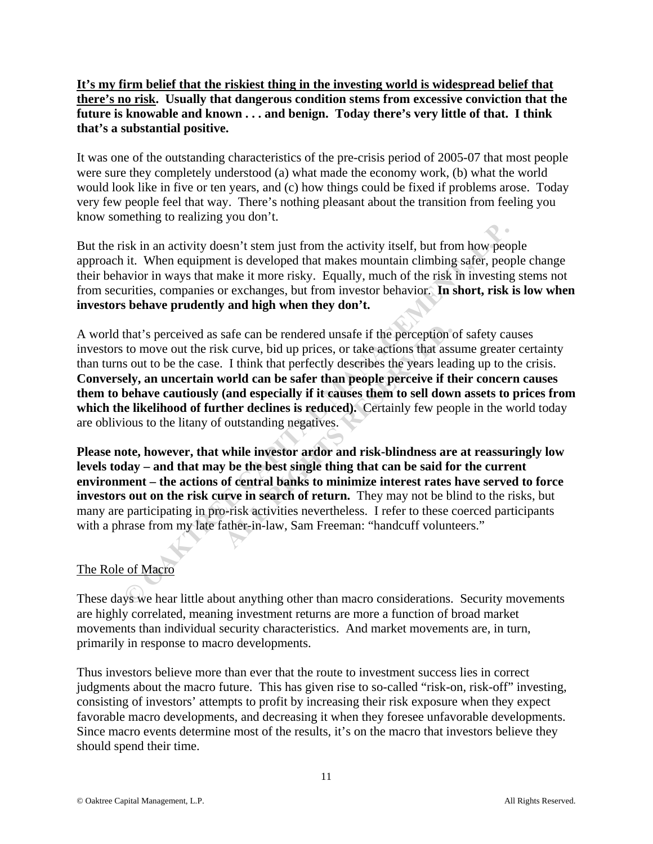**It's my firm belief that the riskiest thing in the investing world is widespread belief that there's no risk. Usually that dangerous condition stems from excessive conviction that the future is knowable and known . . . and benign. Today there's very little of that. I think that's a substantial positive.** 

It was one of the outstanding characteristics of the pre-crisis period of 2005-07 that most people were sure they completely understood (a) what made the economy work, (b) what the world would look like in five or ten years, and (c) how things could be fixed if problems arose. Today very few people feel that way. There's nothing pleasant about the transition from feeling you know something to realizing you don't.

But the risk in an activity doesn't stem just from the activity itself, but from how people approach it. When equipment is developed that makes mountain climbing safer, people change their behavior in ways that make it more risky. Equally, much of the risk in investing stems not from securities, companies or exchanges, but from investor behavior. **In short, risk is low when investors behave prudently and high when they don't.** 

A world that's perceived as safe can be rendered unsafe if the perception of safety causes investors to move out the risk curve, bid up prices, or take actions that assume greater certainty than turns out to be the case. I think that perfectly describes the years leading up to the crisis. **Conversely, an uncertain world can be safer than people perceive if their concern causes them to behave cautiously (and especially if it causes them to sell down assets to prices from**  which the likelihood of further declines is reduced). Certainly few people in the world today are oblivious to the litany of outstanding negatives. isk in an activity doesn't stem just from the activity itself, but from how peop<br>i.e. When equipment is developed that makes mountain climbing safer, peop<br>avior in ways that make it more risky. Equally, much of the risk in safe can be rendered unsafe if the perception is a safe can be rendered unsafe if the perception is a known that ass I think that perfectly describes the years lead world can be safer than people perceive if the (and espec

**Please note, however, that while investor ardor and risk-blindness are at reassuringly low levels today – and that may be the best single thing that can be said for the current environment – the actions of central banks to minimize interest rates have served to force investors out on the risk curve in search of return.** They may not be blind to the risks, but many are participating in pro-risk activities nevertheless. I refer to these coerced participants with a phrase from my late father-in-law, Sam Freeman: "handcuff volunteers."

# The Role of Macro

These days we hear little about anything other than macro considerations. Security movements are highly correlated, meaning investment returns are more a function of broad market movements than individual security characteristics. And market movements are, in turn, primarily in response to macro developments.

Thus investors believe more than ever that the route to investment success lies in correct judgments about the macro future. This has given rise to so-called "risk-on, risk-off" investing, consisting of investors' attempts to profit by increasing their risk exposure when they expect favorable macro developments, and decreasing it when they foresee unfavorable developments. Since macro events determine most of the results, it's on the macro that investors believe they should spend their time.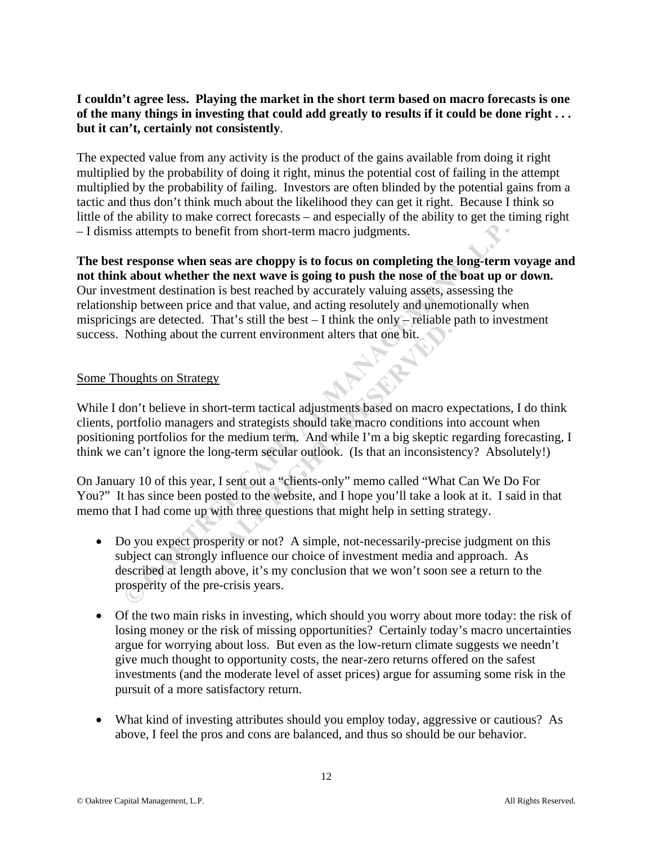## **I couldn't agree less. Playing the market in the short term based on macro forecasts is one of the many things in investing that could add greatly to results if it could be done right . . . but it can't, certainly not consistently**.

The expected value from any activity is the product of the gains available from doing it right multiplied by the probability of doing it right, minus the potential cost of failing in the attempt multiplied by the probability of failing. Investors are often blinded by the potential gains from a tactic and thus don't think much about the likelihood they can get it right. Because I think so little of the ability to make correct forecasts – and especially of the ability to get the timing right – I dismiss attempts to benefit from short-term macro judgments.

**The best response when seas are choppy is to focus on completing the long-term voyage and not think about whether the next wave is going to push the nose of the boat up or down.**  Our investment destination is best reached by accurately valuing assets, assessing the relationship between price and that value, and acting resolutely and unemotionally when mispricings are detected. That's still the best  $-$  I think the only  $-$  reliable path to investment success. Nothing about the current environment alters that one bit. ss attempts to benefit from short-term macro judgments.<br> **Example 18 AND THE TERT CAPITATIST CONCISE TO THE TERM**<br> **EXAMPLE THE EXECAPIT CAPITATIS AND CONCISE TO PERTUAL THE PRESSURE THE DESCRIPT OF DEVALUATIBET DRESS TR** 

#### Some Thoughts on Strategy

While I don't believe in short-term tactical adjustments based on macro expectations, I do think clients, portfolio managers and strategists should take macro conditions into account when positioning portfolios for the medium term. And while I'm a big skeptic regarding forecasting, I think we can't ignore the long-term secular outlook. (Is that an inconsistency? Absolutely!) Form the state of the limits that one bit.<br>
The state of the bit current environment alters that one bit.<br>
The term tactical adjustments based on macro end strategists should take macro conditions ir<br>
all medium term. And

On January 10 of this year, I sent out a "clients-only" memo called "What Can We Do For You?" It has since been posted to the website, and I hope you'll take a look at it. I said in that memo that I had come up with three questions that might help in setting strategy.

- Do you expect prosperity or not? A simple, not-necessarily-precise judgment on this subject can strongly influence our choice of investment media and approach. As described at length above, it's my conclusion that we won't soon see a return to the prosperity of the pre-crisis years.
- Of the two main risks in investing, which should you worry about more today: the risk of losing money or the risk of missing opportunities? Certainly today's macro uncertainties argue for worrying about loss. But even as the low-return climate suggests we needn't give much thought to opportunity costs, the near-zero returns offered on the safest investments (and the moderate level of asset prices) argue for assuming some risk in the pursuit of a more satisfactory return.
- What kind of investing attributes should you employ today, aggressive or cautious? As above, I feel the pros and cons are balanced, and thus so should be our behavior.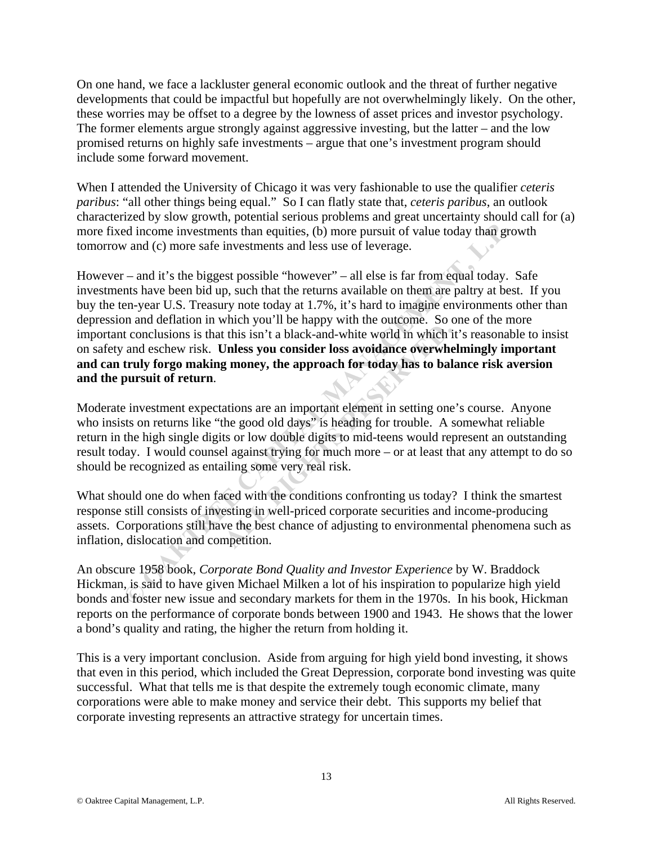On one hand, we face a lackluster general economic outlook and the threat of further negative developments that could be impactful but hopefully are not overwhelmingly likely. On the other, these worries may be offset to a degree by the lowness of asset prices and investor psychology. The former elements argue strongly against aggressive investing, but the latter – and the low promised returns on highly safe investments – argue that one's investment program should include some forward movement.

When I attended the University of Chicago it was very fashionable to use the qualifier *ceteris paribus*: "all other things being equal." So I can flatly state that, *ceteris paribus*, an outlook characterized by slow growth, potential serious problems and great uncertainty should call for (a) more fixed income investments than equities, (b) more pursuit of value today than growth tomorrow and (c) more safe investments and less use of leverage.

However – and it's the biggest possible "however" – all else is far from equal today. Safe investments have been bid up, such that the returns available on them are paltry at best. If you buy the ten-year U.S. Treasury note today at 1.7%, it's hard to imagine environments other than depression and deflation in which you'll be happy with the outcome. So one of the more important conclusions is that this isn't a black-and-white world in which it's reasonable to insist on safety and eschew risk. **Unless you consider loss avoidance overwhelmingly important and can truly forgo making money, the approach for today has to balance risk aversion and the pursuit of return**. ed income investments than equities, (b) more pursuit of value today than gro and (c) more safe investments and less use of leverage.<br>
— and it's the biggest possible "however" – all else is far from equal today. <br>
Ants ha

Moderate investment expectations are an important element in setting one's course. Anyone who insists on returns like "the good old days" is heading for trouble. A somewhat reliable return in the high single digits or low double digits to mid-teens would represent an outstanding result today. I would counsel against trying for much more – or at least that any attempt to do so should be recognized as entailing some very real risk. this isn't a black-and-white world in which is<br>
Jnless you consider loss avoidance overwhen<br>
g money, the approach for today has to bal<br>
ations are an important element in setting one<br>
the good old days" is heading for tro

What should one do when faced with the conditions confronting us today? I think the smartest response still consists of investing in well-priced corporate securities and income-producing assets. Corporations still have the best chance of adjusting to environmental phenomena such as inflation, dislocation and competition.

An obscure 1958 book, *Corporate Bond Quality and Investor Experience* by W. Braddock Hickman, is said to have given Michael Milken a lot of his inspiration to popularize high yield bonds and foster new issue and secondary markets for them in the 1970s. In his book, Hickman reports on the performance of corporate bonds between 1900 and 1943. He shows that the lower a bond's quality and rating, the higher the return from holding it.

This is a very important conclusion. Aside from arguing for high yield bond investing, it shows that even in this period, which included the Great Depression, corporate bond investing was quite successful. What that tells me is that despite the extremely tough economic climate, many corporations were able to make money and service their debt. This supports my belief that corporate investing represents an attractive strategy for uncertain times.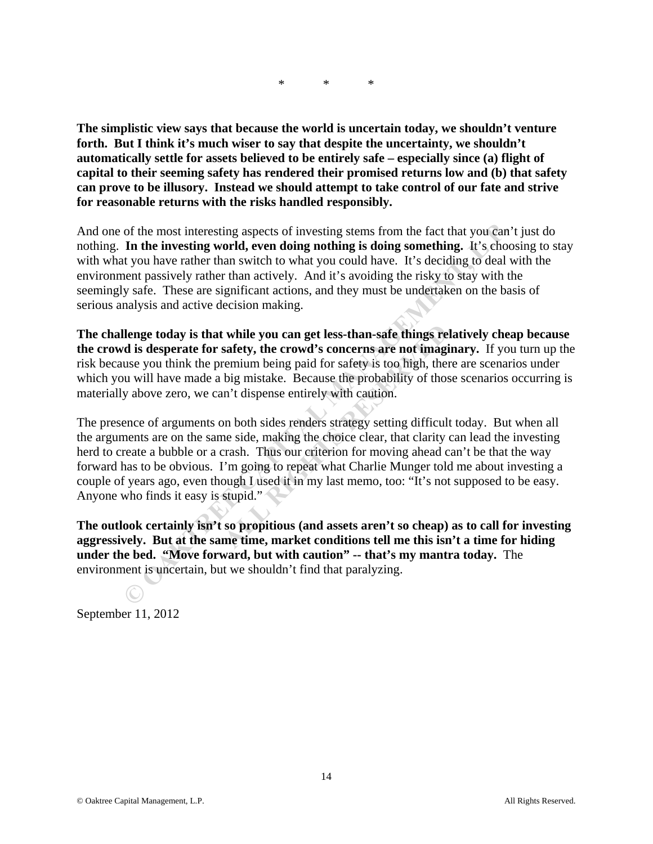\* \* \*

**The simplistic view says that because the world is uncertain today, we shouldn't venture forth. But I think it's much wiser to say that despite the uncertainty, we shouldn't automatically settle for assets believed to be entirely safe – especially since (a) flight of capital to their seeming safety has rendered their promised returns low and (b) that safety can prove to be illusory. Instead we should attempt to take control of our fate and strive for reasonable returns with the risks handled responsibly.** 

And one of the most interesting aspects of investing stems from the fact that you can't just do nothing. **In the investing world, even doing nothing is doing something.** It's choosing to stay with what you have rather than switch to what you could have. It's deciding to deal with the environment passively rather than actively. And it's avoiding the risky to stay with the seemingly safe. These are significant actions, and they must be undertaken on the basis of serious analysis and active decision making.

**The challenge today is that while you can get less-than-safe things relatively cheap because the crowd is desperate for safety, the crowd's concerns are not imaginary.** If you turn up the risk because you think the premium being paid for safety is too high, there are scenarios under which you will have made a big mistake. Because the probability of those scenarios occurring is materially above zero, we can't dispense entirely with caution.

The presence of arguments on both sides renders strategy setting difficult today. But when all the arguments are on the same side, making the choice clear, that clarity can lead the investing herd to create a bubble or a crash. Thus our criterion for moving ahead can't be that the way forward has to be obvious. I'm going to repeat what Charlie Munger told me about investing a couple of years ago, even though I used it in my last memo, too: "It's not supposed to be easy. Anyone who finds it easy is stupid." of the most interesting aspects of investing stems from the fact that you can't<br> **In the investing world, even doing nothing is doing something.** It's choose<br>
to to nave rather than actively. And it's avoiding the risky to while you can get less-than-safe things relast<br>safety, the crowd's concerns are not imagin<br>remium being paid for safety is too high, there<br>big mistake. Because the probability of those<br>n't dispense entirely with caution.<br>o

**The outlook certainly isn't so propitious (and assets aren't so cheap) as to call for investing aggressively. But at the same time, market conditions tell me this isn't a time for hiding under the bed. "Move forward, but with caution" -- that's my mantra today.** The environment is uncertain, but we shouldn't find that paralyzing.

September 11, 2012